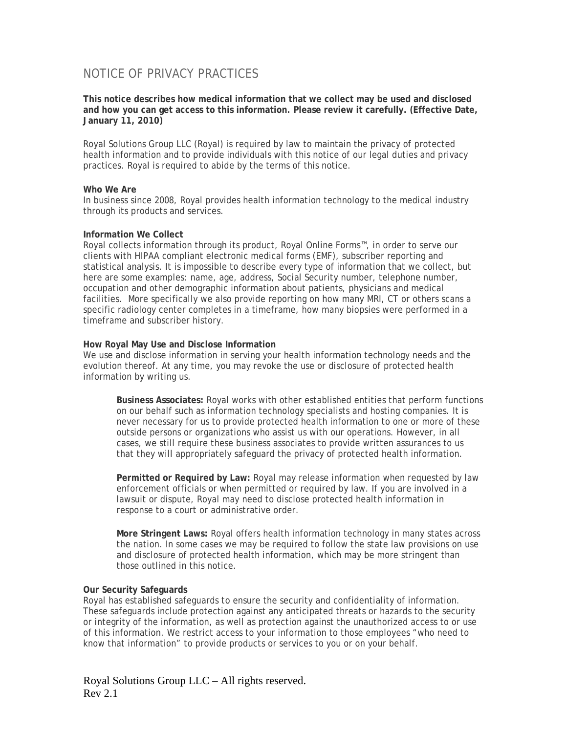# NOTICE OF PRIVACY PRACTICES

**This notice describes how medical information that we collect may be used and disclosed and how you can get access to this information. Please review it carefully. (Effective Date, January 11, 2010)**

Royal Solutions Group LLC (Royal) is required by law to maintain the privacy of protected health information and to provide individuals with this notice of our legal duties and privacy practices. Royal is required to abide by the terms of this notice.

## **Who We Are**

In business since 2008, Royal provides health information technology to the medical industry through its products and services.

## **Information We Collect**

Royal collects information through its product, Royal Online Forms™, in order to serve our clients with HIPAA compliant electronic medical forms (EMF), subscriber reporting and statistical analysis. It is impossible to describe every type of information that we collect, but here are some examples: name, age, address, Social Security number, telephone number, occupation and other demographic information about patients, physicians and medical facilities. More specifically we also provide reporting on how many MRI, CT or others scans a specific radiology center completes in a timeframe, how many biopsies were performed in a timeframe and subscriber history.

## **How Royal May Use and Disclose Information**

We use and disclose information in serving your health information technology needs and the evolution thereof. At any time, you may revoke the use or disclosure of protected health information by writing us.

**Business Associates:** Royal works with other established entities that perform functions on our behalf such as information technology specialists and hosting companies. It is never necessary for us to provide protected health information to one or more of these outside persons or organizations who assist us with our operations. However, in all cases, we still require these business associates to provide written assurances to us that they will appropriately safeguard the privacy of protected health information.

**Permitted or Required by Law:** Royal may release information when requested by law enforcement officials or when permitted or required by law. If you are involved in a lawsuit or dispute, Royal may need to disclose protected health information in response to a court or administrative order.

**More Stringent Laws:** Royal offers health information technology in many states across the nation. In some cases we may be required to follow the state law provisions on use and disclosure of protected health information, which may be more stringent than those outlined in this notice.

## **Our Security Safeguards**

Royal has established safeguards to ensure the security and confidentiality of information. These safeguards include protection against any anticipated threats or hazards to the security or integrity of the information, as well as protection against the unauthorized access to or use of this information. We restrict access to your information to those employees "who need to know that information" to provide products or services to you or on your behalf.